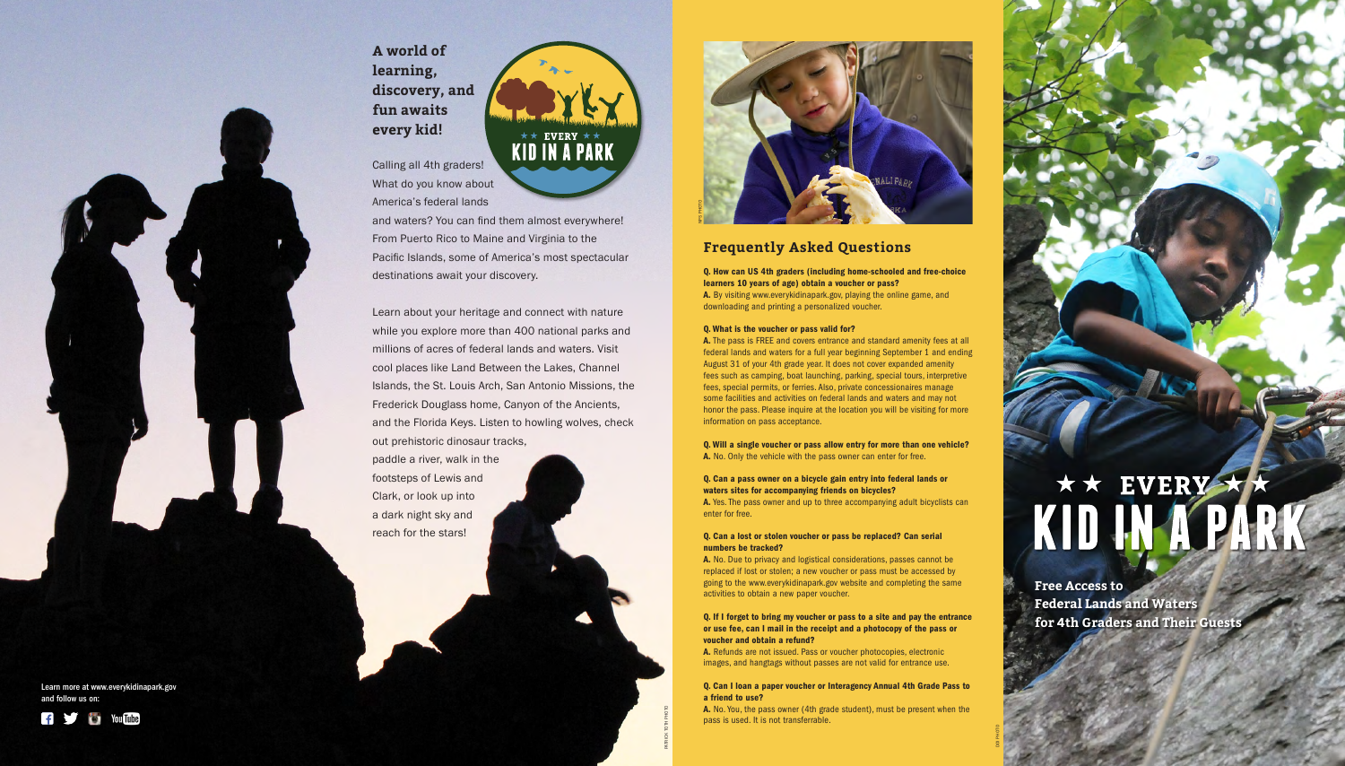

DOI PHOTO

PATRICK TOTH PHOTO



# KID IN A PARK

# **Frequently Asked Questions**

## Q. How can US 4th graders (including home-schooled and free-choice learners 10 years of age) obtain a voucher or pass?

A. By visiting www.everykidinapark.gov, playing the online game, and downloading and printing a personalized voucher.

## Q. What is the voucher or pass valid for?

A. The pass is FREE and covers entrance and standard amenity fees at all federal lands and waters for a full year beginning September 1 and ending August 31 of your 4th grade year. It does not cover expanded amenity fees such as camping, boat launching, parking, special tours, interpretive fees, special permits, or ferries. Also, private concessionaires manage some facilities and activities on federal lands and waters and may not honor the pass. Please inquire at the location you will be visiting for more information on pass acceptance.

Q. Will a single voucher or pass allow entry for more than one vehicle? A. No. Only the vehicle with the pass owner can enter for free.

## Q. Can a pass owner on a bicycle gain entry into federal lands or waters sites for accompanying friends on bicycles?

A. Yes. The pass owner and up to three accompanying adult bicyclists can enter for free.

## Q. Can a lost or stolen voucher or pass be replaced? Can serial numbers be tracked?

A. No. Due to privacy and logistical considerations, passes cannot be replaced if lost or stolen; a new voucher or pass must be accessed by going to the www.everykidinapark.gov website and completing the same activities to obtain a new paper voucher.

## Q. If I forget to bring my voucher or pass to a site and pay the entrance or use fee, can I mail in the receipt and a photocopy of the pass or voucher and obtain a refund?

A. Refunds are not issued. Pass or voucher photocopies, electronic images, and hangtags without passes are not valid for entrance use.

## Q. Can I loan a paper voucher or Interagency Annual 4th Grade Pass to a friend to use?

A. No. You, the pass owner (4th grade student), must be present when the pass is used. It is not transferrable.

Calling all 4th graders! What do you know about America's federal lands

and waters? You can find them almost everywhere! From Puerto Rico to Maine and Virginia to the Pacific Islands, some of America's most spectacular destinations await your discovery.

Learn about your heritage and connect with nature while you explore more than 400 national parks and millions of acres of federal lands and waters. Visit cool places like Land Between the Lakes, Channel Islands, the St. Louis Arch, San Antonio Missions, the Frederick Douglass home, Canyon of the Ancients, and the Florida Keys. Listen to howling wolves, check out prehistoric dinosaur tracks,

paddle a river, walk in the footsteps of Lewis and Clark, or look up into a dark night sky and reach for the stars!

> **Free Access to Federal Lands and Waters for 4th Graders and Their Guests**